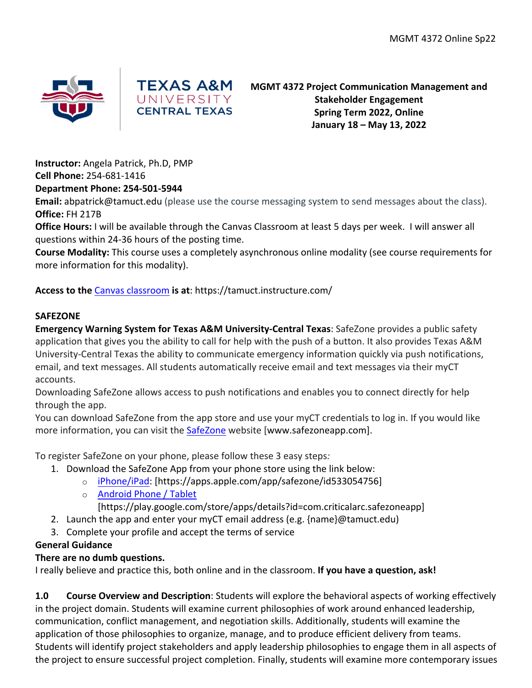



**MGMT 4372 Project Communication Management and Stakeholder Engagement Spring Term 2022, Online January 18 – May 13, 2022**

**Instructor:** Angela Patrick, Ph.D, PMP

**Cell Phone:** 254-681-1416

### **Department Phone: 254-501-5944**

**Email:** abpatrick@tamuct.edu (please use the course messaging system to send messages about the class). **Office:** FH 217B

**Office Hours:** I will be available through the Canvas Classroom at least 5 days per week. I will answer all questions within 24-36 hours of the posting time.

**Course Modality:** This course uses a completely asynchronous online modality (see course requirements for more information for this modality).

## **Access to the** Canvas classroom **is at**: https://tamuct.instructure.com/

### **SAFEZONE**

**Emergency Warning System for Texas A&M University-Central Texas**: SafeZone provides a public safety application that gives you the ability to call for help with the push of a button. It also provides Texas A&M University-Central Texas the ability to communicate emergency information quickly via push notifications, email, and text messages. All students automatically receive email and text messages via their myCT accounts.

Downloading SafeZone allows access to push notifications and enables you to connect directly for help through the app.

You can download SafeZone from the app store and use your myCT credentials to log in. If you would like more information, you can visit the SafeZone website [www.safezoneapp.com].

To register SafeZone on your phone, please follow these 3 easy steps*:*

- 1. Download the SafeZone App from your phone store using the link below:
	- o iPhone/iPad: [https://apps.apple.com/app/safezone/id533054756]
	- o Android Phone / Tablet

[https://play.google.com/store/apps/details?id=com.criticalarc.safezoneapp]

- 2. Launch the app and enter your myCT email address (e.g. {name}@tamuct.edu)
- 3. Complete your profile and accept the terms of service

## **General Guidance**

## **There are no dumb questions.**

I really believe and practice this, both online and in the classroom. **If you have a question, ask!** 

**1.0 Course Overview and Description**: Students will explore the behavioral aspects of working effectively in the project domain. Students will examine current philosophies of work around enhanced leadership, communication, conflict management, and negotiation skills. Additionally, students will examine the application of those philosophies to organize, manage, and to produce efficient delivery from teams. Students will identify project stakeholders and apply leadership philosophies to engage them in all aspects of the project to ensure successful project completion. Finally, students will examine more contemporary issues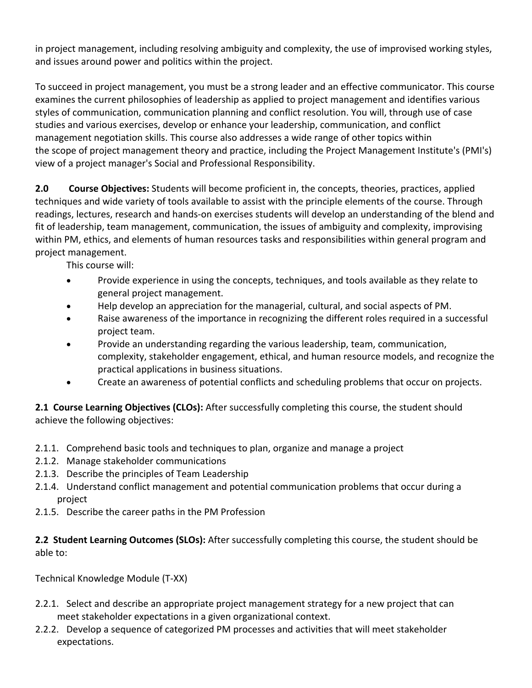in project management, including resolving ambiguity and complexity, the use of improvised working styles, and issues around power and politics within the project.

To succeed in project management, you must be a strong leader and an effective communicator. This course examines the current philosophies of leadership as applied to project management and identifies various styles of communication, communication planning and conflict resolution. You will, through use of case studies and various exercises, develop or enhance your leadership, communication, and conflict management negotiation skills. This course also addresses a wide range of other topics within the scope of project management theory and practice, including the Project Management Institute's (PMI's) view of a project manager's Social and Professional Responsibility.

**2.0 Course Objectives:** Students will become proficient in, the concepts, theories, practices, applied techniques and wide variety of tools available to assist with the principle elements of the course. Through readings, lectures, research and hands-on exercises students will develop an understanding of the blend and fit of leadership, team management, communication, the issues of ambiguity and complexity, improvising within PM, ethics, and elements of human resources tasks and responsibilities within general program and project management.

This course will:

- Provide experience in using the concepts, techniques, and tools available as they relate to general project management.
- Help develop an appreciation for the managerial, cultural, and social aspects of PM.
- Raise awareness of the importance in recognizing the different roles required in a successful project team.
- Provide an understanding regarding the various leadership, team, communication, complexity, stakeholder engagement, ethical, and human resource models, and recognize the practical applications in business situations.
- Create an awareness of potential conflicts and scheduling problems that occur on projects.

**2.1 Course Learning Objectives (CLOs):** After successfully completing this course, the student should achieve the following objectives:

- 2.1.1. Comprehend basic tools and techniques to plan, organize and manage a project
- 2.1.2. Manage stakeholder communications
- 2.1.3. Describe the principles of Team Leadership
- 2.1.4. Understand conflict management and potential communication problems that occur during a project
- 2.1.5. Describe the career paths in the PM Profession

**2.2 Student Learning Outcomes (SLOs):** After successfully completing this course, the student should be able to:

Technical Knowledge Module (T-XX)

- 2.2.1. Select and describe an appropriate project management strategy for a new project that can meet stakeholder expectations in a given organizational context.
- 2.2.2. Develop a sequence of categorized PM processes and activities that will meet stakeholder expectations.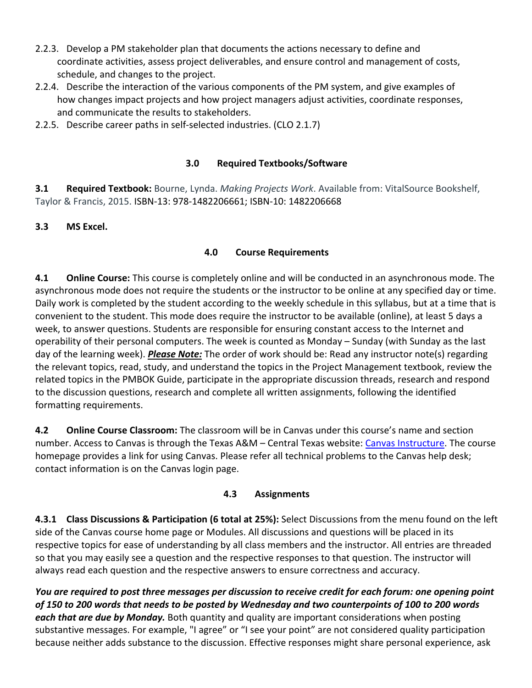- 2.2.3. Develop a PM stakeholder plan that documents the actions necessary to define and coordinate activities, assess project deliverables, and ensure control and management of costs, schedule, and changes to the project.
- 2.2.4. Describe the interaction of the various components of the PM system, and give examples of how changes impact projects and how project managers adjust activities, coordinate responses, and communicate the results to stakeholders.
- 2.2.5. Describe career paths in self-selected industries. (CLO 2.1.7)

### **3.0 Required Textbooks/Software**

**3.1 Required Textbook:** Bourne, Lynda. *Making Projects Work*. Available from: VitalSource Bookshelf, Taylor & Francis, 2015. ISBN-13: 978-1482206661; ISBN-10: 1482206668

### **3.3 MS Excel.**

### **4.0 Course Requirements**

**4.1 Online Course:** This course is completely online and will be conducted in an asynchronous mode. The asynchronous mode does not require the students or the instructor to be online at any specified day or time. Daily work is completed by the student according to the weekly schedule in this syllabus, but at a time that is convenient to the student. This mode does require the instructor to be available (online), at least 5 days a week, to answer questions. Students are responsible for ensuring constant access to the Internet and operability of their personal computers. The week is counted as Monday – Sunday (with Sunday as the last day of the learning week). *Please Note:* The order of work should be: Read any instructor note(s) regarding the relevant topics, read, study, and understand the topics in the Project Management textbook, review the related topics in the PMBOK Guide, participate in the appropriate discussion threads, research and respond to the discussion questions, research and complete all written assignments, following the identified formatting requirements.

**4.2 Online Course Classroom:** The classroom will be in Canvas under this course's name and section number. Access to Canvas is through the Texas A&M – Central Texas website: Canvas Instructure. The course homepage provides a link for using Canvas. Please refer all technical problems to the Canvas help desk; contact information is on the Canvas login page.

## **4.3 Assignments**

**4.3.1 Class Discussions & Participation (6 total at 25%):** Select Discussions from the menu found on the left side of the Canvas course home page or Modules. All discussions and questions will be placed in its respective topics for ease of understanding by all class members and the instructor. All entries are threaded so that you may easily see a question and the respective responses to that question. The instructor will always read each question and the respective answers to ensure correctness and accuracy.

*You are required to post three messages per discussion to receive credit for each forum: one opening point of 150 to 200 words that needs to be posted by Wednesday and two counterpoints of 100 to 200 words each that are due by Monday.* Both quantity and quality are important considerations when posting substantive messages. For example, "I agree" or "I see your point" are not considered quality participation because neither adds substance to the discussion. Effective responses might share personal experience, ask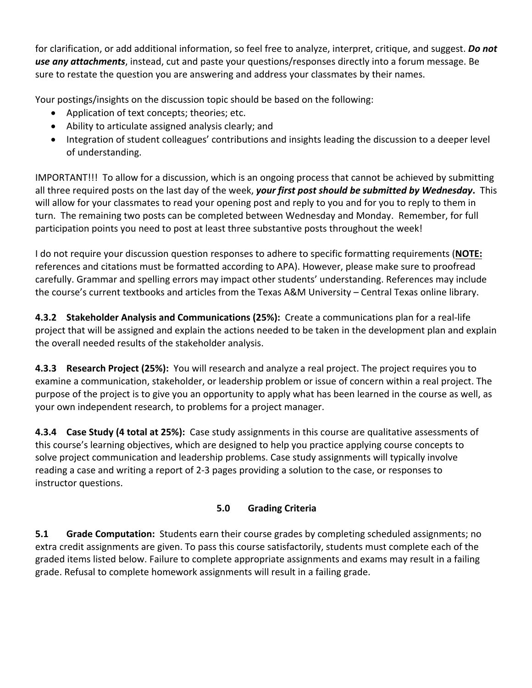for clarification, or add additional information, so feel free to analyze, interpret, critique, and suggest. *Do not use any attachments*, instead, cut and paste your questions/responses directly into a forum message. Be sure to restate the question you are answering and address your classmates by their names.

Your postings/insights on the discussion topic should be based on the following:

- Application of text concepts; theories; etc.
- Ability to articulate assigned analysis clearly; and
- Integration of student colleagues' contributions and insights leading the discussion to a deeper level of understanding.

IMPORTANT!!! To allow for a discussion, which is an ongoing process that cannot be achieved by submitting all three required posts on the last day of the week, *your first post should be submitted by Wednesday***.** This will allow for your classmates to read your opening post and reply to you and for you to reply to them in turn. The remaining two posts can be completed between Wednesday and Monday. Remember, for full participation points you need to post at least three substantive posts throughout the week!

I do not require your discussion question responses to adhere to specific formatting requirements (**NOTE:** references and citations must be formatted according to APA). However, please make sure to proofread carefully. Grammar and spelling errors may impact other students' understanding. References may include the course's current textbooks and articles from the Texas A&M University – Central Texas online library.

**4.3.2 Stakeholder Analysis and Communications (25%):** Create a communications plan for a real-life project that will be assigned and explain the actions needed to be taken in the development plan and explain the overall needed results of the stakeholder analysis.

**4.3.3 Research Project (25%):** You will research and analyze a real project. The project requires you to examine a communication, stakeholder, or leadership problem or issue of concern within a real project. The purpose of the project is to give you an opportunity to apply what has been learned in the course as well, as your own independent research, to problems for a project manager.

**4.3.4 Case Study (4 total at 25%):** Case study assignments in this course are qualitative assessments of this course's learning objectives, which are designed to help you practice applying course concepts to solve project communication and leadership problems. Case study assignments will typically involve reading a case and writing a report of 2-3 pages providing a solution to the case, or responses to instructor questions.

# **5.0 Grading Criteria**

**5.1 Grade Computation:** Students earn their course grades by completing scheduled assignments; no extra credit assignments are given. To pass this course satisfactorily, students must complete each of the graded items listed below. Failure to complete appropriate assignments and exams may result in a failing grade. Refusal to complete homework assignments will result in a failing grade.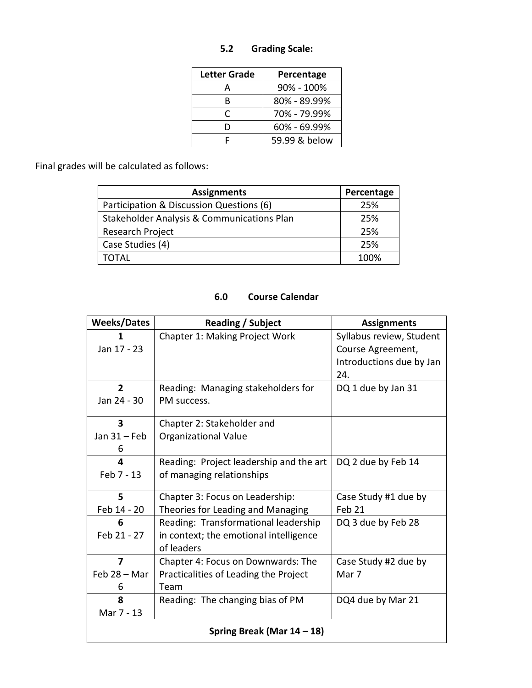## **5.2 Grading Scale:**

| <b>Letter Grade</b> | Percentage     |
|---------------------|----------------|
| А                   | $90\% - 100\%$ |
| R                   | 80% - 89.99%   |
| C                   | 70% - 79.99%   |
| D                   | 60% - 69.99%   |
| F                   | 59.99 & below  |

Final grades will be calculated as follows:

| <b>Assignments</b>                         | Percentage |
|--------------------------------------------|------------|
| Participation & Discussion Questions (6)   | 25%        |
| Stakeholder Analysis & Communications Plan | 25%        |
| Research Project                           | 25%        |
| Case Studies (4)                           | 25%        |
| OTAI                                       | 100%       |

## **6.0 Course Calendar**

| <b>Weeks/Dates</b>            | Reading / Subject                       | <b>Assignments</b>       |  |
|-------------------------------|-----------------------------------------|--------------------------|--|
| 1                             | Chapter 1: Making Project Work          | Syllabus review, Student |  |
| Jan 17 - 23                   |                                         | Course Agreement,        |  |
|                               |                                         | Introductions due by Jan |  |
|                               |                                         | 24.                      |  |
| $\overline{2}$                | Reading: Managing stakeholders for      | DQ 1 due by Jan 31       |  |
| Jan 24 - 30                   | PM success.                             |                          |  |
| $\overline{\mathbf{3}}$       | Chapter 2: Stakeholder and              |                          |  |
| Jan $31$ – Feb                | <b>Organizational Value</b>             |                          |  |
| 6                             |                                         |                          |  |
| 4                             | Reading: Project leadership and the art | DQ 2 due by Feb 14       |  |
| Feb 7 - 13                    | of managing relationships               |                          |  |
| 5                             | Chapter 3: Focus on Leadership:         | Case Study #1 due by     |  |
| Feb 14 - 20                   | Theories for Leading and Managing       | Feb 21                   |  |
| 6                             | Reading: Transformational leadership    | DQ 3 due by Feb 28       |  |
| Feb 21 - 27                   | in context; the emotional intelligence  |                          |  |
|                               | of leaders                              |                          |  |
| 7                             | Chapter 4: Focus on Downwards: The      | Case Study #2 due by     |  |
| Feb 28 - Mar                  | Practicalities of Leading the Project   | Mar 7                    |  |
| 6                             | Team                                    |                          |  |
| 8                             | Reading: The changing bias of PM        | DQ4 due by Mar 21        |  |
| Mar 7 - 13                    |                                         |                          |  |
| Spring Break (Mar $14 - 18$ ) |                                         |                          |  |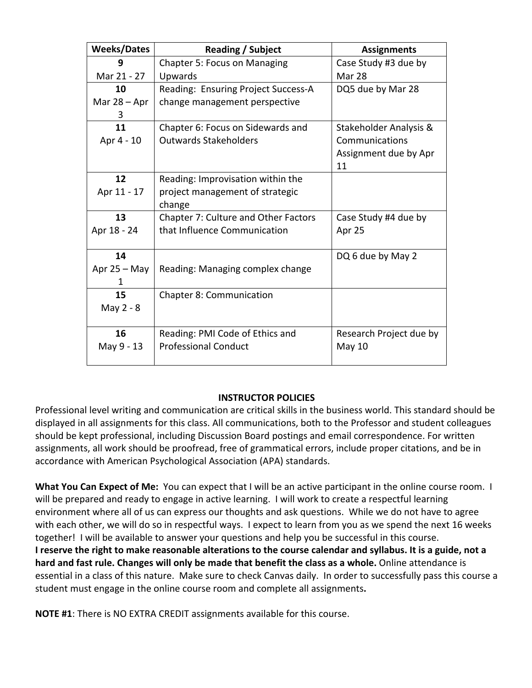| <b>Weeks/Dates</b> | Reading / Subject                    | <b>Assignments</b>      |
|--------------------|--------------------------------------|-------------------------|
| q                  | Chapter 5: Focus on Managing         | Case Study #3 due by    |
| Mar 21 - 27        | Upwards                              | <b>Mar 28</b>           |
| 10                 | Reading: Ensuring Project Success-A  | DQ5 due by Mar 28       |
| Mar $28 -$ Apr     | change management perspective        |                         |
| 3                  |                                      |                         |
| 11                 | Chapter 6: Focus on Sidewards and    | Stakeholder Analysis &  |
| Apr 4 - 10         | <b>Outwards Stakeholders</b>         | Communications          |
|                    |                                      | Assignment due by Apr   |
|                    |                                      | 11                      |
| 12                 | Reading: Improvisation within the    |                         |
| Apr 11 - 17        | project management of strategic      |                         |
|                    | change                               |                         |
| 13                 | Chapter 7: Culture and Other Factors | Case Study #4 due by    |
| Apr 18 - 24        | that Influence Communication         | Apr 25                  |
|                    |                                      |                         |
| 14                 |                                      | DQ 6 due by May 2       |
| Apr $25 - May$     | Reading: Managing complex change     |                         |
| 1                  |                                      |                         |
| 15                 | <b>Chapter 8: Communication</b>      |                         |
| May 2 - 8          |                                      |                         |
|                    |                                      |                         |
| 16                 | Reading: PMI Code of Ethics and      | Research Project due by |
| May 9 - 13         | <b>Professional Conduct</b>          | May 10                  |
|                    |                                      |                         |

#### **INSTRUCTOR POLICIES**

Professional level writing and communication are critical skills in the business world. This standard should be displayed in all assignments for this class. All communications, both to the Professor and student colleagues should be kept professional, including Discussion Board postings and email correspondence. For written assignments, all work should be proofread, free of grammatical errors, include proper citations, and be in accordance with American Psychological Association (APA) standards.

**What You Can Expect of Me:** You can expect that I will be an active participant in the online course room. I will be prepared and ready to engage in active learning. I will work to create a respectful learning environment where all of us can express our thoughts and ask questions. While we do not have to agree with each other, we will do so in respectful ways. I expect to learn from you as we spend the next 16 weeks together! I will be available to answer your questions and help you be successful in this course.

**I reserve the right to make reasonable alterations to the course calendar and syllabus. It is a guide, not a hard and fast rule. Changes will only be made that benefit the class as a whole.** Online attendance is essential in a class of this nature. Make sure to check Canvas daily. In order to successfully pass this course a student must engage in the online course room and complete all assignments**.**

**NOTE #1**: There is NO EXTRA CREDIT assignments available for this course.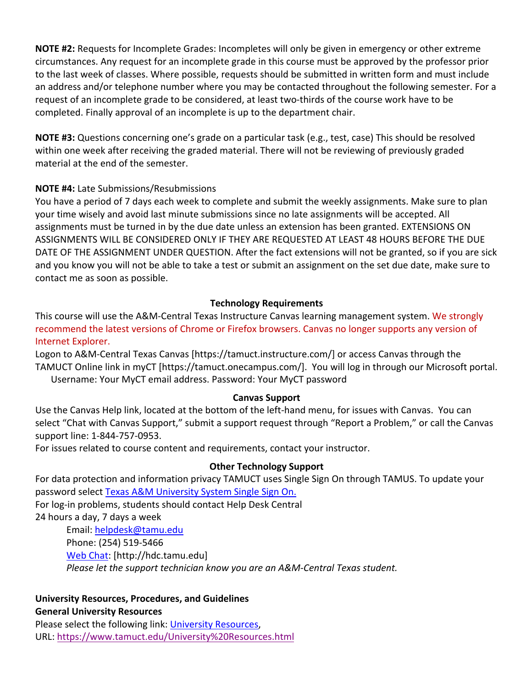**NOTE #2:** Requests for Incomplete Grades: Incompletes will only be given in emergency or other extreme circumstances. Any request for an incomplete grade in this course must be approved by the professor prior to the last week of classes. Where possible, requests should be submitted in written form and must include an address and/or telephone number where you may be contacted throughout the following semester. For a request of an incomplete grade to be considered, at least two-thirds of the course work have to be completed. Finally approval of an incomplete is up to the department chair.

**NOTE #3:** Questions concerning one's grade on a particular task (e.g., test, case) This should be resolved within one week after receiving the graded material. There will not be reviewing of previously graded material at the end of the semester.

### **NOTE #4:** Late Submissions/Resubmissions

You have a period of 7 days each week to complete and submit the weekly assignments. Make sure to plan your time wisely and avoid last minute submissions since no late assignments will be accepted. All assignments must be turned in by the due date unless an extension has been granted. EXTENSIONS ON ASSIGNMENTS WILL BE CONSIDERED ONLY IF THEY ARE REQUESTED AT LEAST 48 HOURS BEFORE THE DUE DATE OF THE ASSIGNMENT UNDER QUESTION. After the fact extensions will not be granted, so if you are sick and you know you will not be able to take a test or submit an assignment on the set due date, make sure to contact me as soon as possible.

### **Technology Requirements**

This course will use the A&M-Central Texas Instructure Canvas learning management system. We strongly recommend the latest versions of Chrome or Firefox browsers. Canvas no longer supports any version of Internet Explorer.

Logon to A&M-Central Texas Canvas [https://tamuct.instructure.com/] or access Canvas through the TAMUCT Online link in myCT [https://tamuct.onecampus.com/]. You will log in through our Microsoft portal. Username: Your MyCT email address. Password: Your MyCT password

#### **Canvas Support**

Use the Canvas Help link, located at the bottom of the left-hand menu, for issues with Canvas. You can select "Chat with Canvas Support," submit a support request through "Report a Problem," or call the Canvas support line: 1-844-757-0953.

For issues related to course content and requirements, contact your instructor.

## **Other Technology Support**

For data protection and information privacy TAMUCT uses Single Sign On through TAMUS. To update your password select Texas A&M University System Single Sign On. For log-in problems, students should contact Help Desk Central 24 hours a day, 7 days a week

Email: helpdesk@tamu.edu Phone: (254) 519-5466 Web Chat: [http://hdc.tamu.edu] *Please let the support technician know you are an A&M-Central Texas student.*

## **University Resources, Procedures, and Guidelines**

**General University Resources**

Please select the following link: University Resources, URL: https://www.tamuct.edu/University%20Resources.html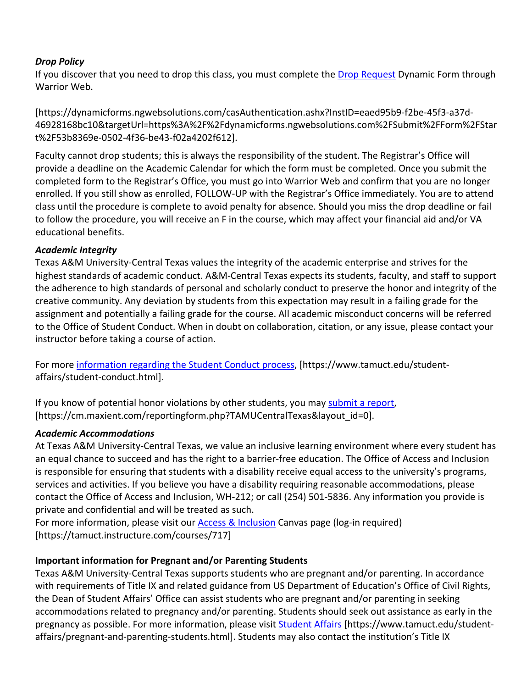### *Drop Policy*

If you discover that you need to drop this class, you must complete the Drop Request Dynamic Form through Warrior Web.

[https://dynamicforms.ngwebsolutions.com/casAuthentication.ashx?InstID=eaed95b9-f2be-45f3-a37d-46928168bc10&targetUrl=https%3A%2F%2Fdynamicforms.ngwebsolutions.com%2FSubmit%2FForm%2FStar t%2F53b8369e-0502-4f36-be43-f02a4202f612].

Faculty cannot drop students; this is always the responsibility of the student. The Registrar's Office will provide a deadline on the Academic Calendar for which the form must be completed. Once you submit the completed form to the Registrar's Office, you must go into Warrior Web and confirm that you are no longer enrolled. If you still show as enrolled, FOLLOW-UP with the Registrar's Office immediately. You are to attend class until the procedure is complete to avoid penalty for absence. Should you miss the drop deadline or fail to follow the procedure, you will receive an F in the course, which may affect your financial aid and/or VA educational benefits.

### *Academic Integrity*

Texas A&M University-Central Texas values the integrity of the academic enterprise and strives for the highest standards of academic conduct. A&M-Central Texas expects its students, faculty, and staff to support the adherence to high standards of personal and scholarly conduct to preserve the honor and integrity of the creative community. Any deviation by students from this expectation may result in a failing grade for the assignment and potentially a failing grade for the course. All academic misconduct concerns will be referred to the Office of Student Conduct. When in doubt on collaboration, citation, or any issue, please contact your instructor before taking a course of action.

For more information regarding the Student Conduct process, [https://www.tamuct.edu/studentaffairs/student-conduct.html].

If you know of potential honor violations by other students, you may submit a report, [https://cm.maxient.com/reportingform.php?TAMUCentralTexas&layout\_id=0].

## *Academic Accommodations*

At Texas A&M University-Central Texas, we value an inclusive learning environment where every student has an equal chance to succeed and has the right to a barrier-free education. The Office of Access and Inclusion is responsible for ensuring that students with a disability receive equal access to the university's programs, services and activities. If you believe you have a disability requiring reasonable accommodations, please contact the Office of Access and Inclusion, WH-212; or call (254) 501-5836. Any information you provide is private and confidential and will be treated as such.

For more information, please visit our Access & Inclusion Canvas page (log-in required) [https://tamuct.instructure.com/courses/717]

## **Important information for Pregnant and/or Parenting Students**

Texas A&M University-Central Texas supports students who are pregnant and/or parenting. In accordance with requirements of Title IX and related guidance from US Department of Education's Office of Civil Rights, the Dean of Student Affairs' Office can assist students who are pregnant and/or parenting in seeking accommodations related to pregnancy and/or parenting. Students should seek out assistance as early in the pregnancy as possible. For more information, please visit Student Affairs [https://www.tamuct.edu/studentaffairs/pregnant-and-parenting-students.html]. Students may also contact the institution's Title IX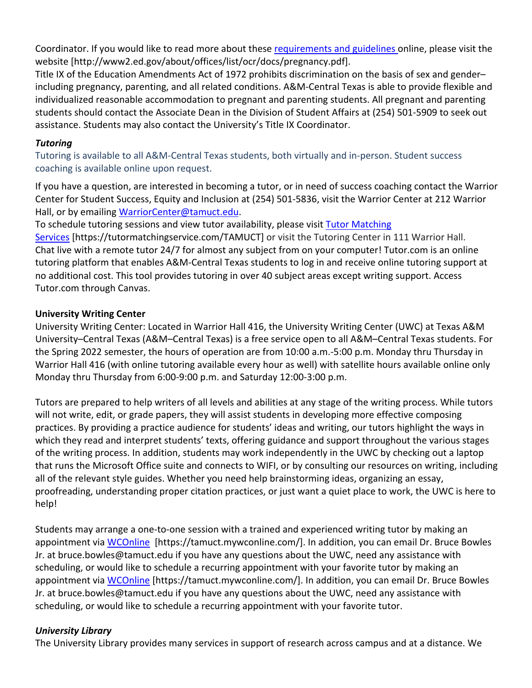Coordinator. If you would like to read more about these requirements and guidelines online, please visit the website [http://www2.ed.gov/about/offices/list/ocr/docs/pregnancy.pdf].

Title IX of the Education Amendments Act of 1972 prohibits discrimination on the basis of sex and gender– including pregnancy, parenting, and all related conditions. A&M-Central Texas is able to provide flexible and individualized reasonable accommodation to pregnant and parenting students. All pregnant and parenting students should contact the Associate Dean in the Division of Student Affairs at (254) 501-5909 to seek out assistance. Students may also contact the University's Title IX Coordinator.

### *Tutoring*

Tutoring is available to all A&M-Central Texas students, both virtually and in-person. Student success coaching is available online upon request.

If you have a question, are interested in becoming a tutor, or in need of success coaching contact the Warrior Center for Student Success, Equity and Inclusion at (254) 501-5836, visit the Warrior Center at 212 Warrior Hall, or by emailing WarriorCenter@tamuct.edu.

To schedule tutoring sessions and view tutor availability, please visit Tutor Matching Services [https://tutormatchingservice.com/TAMUCT] or visit the Tutoring Center in 111 Warrior Hall. Chat live with a remote tutor 24/7 for almost any subject from on your computer! Tutor.com is an online tutoring platform that enables A&M-Central Texas students to log in and receive online tutoring support at no additional cost. This tool provides tutoring in over 40 subject areas except writing support. Access Tutor.com through Canvas.

### **University Writing Center**

University Writing Center: Located in Warrior Hall 416, the University Writing Center (UWC) at Texas A&M University–Central Texas (A&M–Central Texas) is a free service open to all A&M–Central Texas students. For the Spring 2022 semester, the hours of operation are from 10:00 a.m.-5:00 p.m. Monday thru Thursday in Warrior Hall 416 (with online tutoring available every hour as well) with satellite hours available online only Monday thru Thursday from 6:00-9:00 p.m. and Saturday 12:00-3:00 p.m.

Tutors are prepared to help writers of all levels and abilities at any stage of the writing process. While tutors will not write, edit, or grade papers, they will assist students in developing more effective composing practices. By providing a practice audience for students' ideas and writing, our tutors highlight the ways in which they read and interpret students' texts, offering guidance and support throughout the various stages of the writing process. In addition, students may work independently in the UWC by checking out a laptop that runs the Microsoft Office suite and connects to WIFI, or by consulting our resources on writing, including all of the relevant style guides. Whether you need help brainstorming ideas, organizing an essay, proofreading, understanding proper citation practices, or just want a quiet place to work, the UWC is here to help!

Students may arrange a one-to-one session with a trained and experienced writing tutor by making an appointment via WCOnline [https://tamuct.mywconline.com/]. In addition, you can email Dr. Bruce Bowles Jr. at bruce.bowles@tamuct.edu if you have any questions about the UWC, need any assistance with scheduling, or would like to schedule a recurring appointment with your favorite tutor by making an appointment via WCOnline [https://tamuct.mywconline.com/]. In addition, you can email Dr. Bruce Bowles Jr. at bruce.bowles@tamuct.edu if you have any questions about the UWC, need any assistance with scheduling, or would like to schedule a recurring appointment with your favorite tutor.

#### *University Library*

The University Library provides many services in support of research across campus and at a distance. We